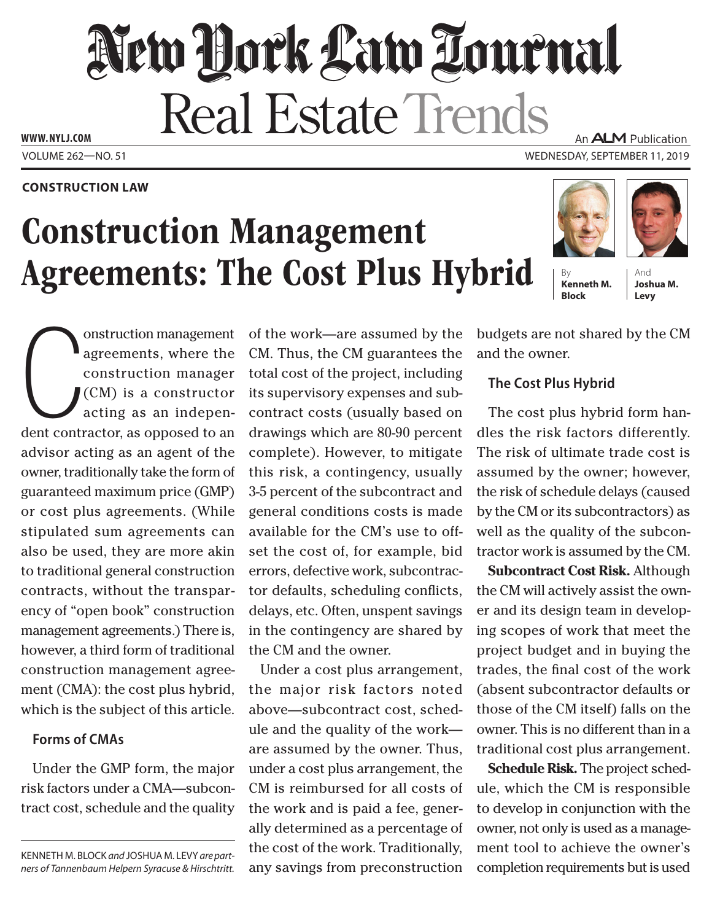# New York Law Lournal Real Estate Trends **www. NYLJ.com** An **ALM** Publication

#### **Construction Law**

# Construction Management Agreements: The Cost Plus Hybrid







**Kenneth M. Block**

And **Joshua M. Levy**

onstruction management<br>agreements, where the<br>construction manager<br>(CM) is a constructor<br>acting as an indepen-<br>dent contractor, as opposed to an onstruction management agreements, where the construction manager (CM) is a constructor acting as an indepenadvisor acting as an agent of the owner, traditionally take the form of guaranteed maximum price (GMP) or cost plus agreements. (While stipulated sum agreements can also be used, they are more akin to traditional general construction contracts, without the transparency of "open book" construction management agreements.) There is, however, a third form of traditional construction management agreement (CMA): the cost plus hybrid, which is the subject of this article.

## **Forms of CMAs**

Under the GMP form, the major risk factors under a CMA—subcontract cost, schedule and the quality

of the work—are assumed by the CM. Thus, the CM guarantees the total cost of the project, including its supervisory expenses and subcontract costs (usually based on drawings which are 80-90 percent complete). However, to mitigate this risk, a contingency, usually 3-5 percent of the subcontract and general conditions costs is made available for the CM's use to offset the cost of, for example, bid errors, defective work, subcontractor defaults, scheduling conflicts, delays, etc. Often, unspent savings in the contingency are shared by the CM and the owner.

Under a cost plus arrangement, the major risk factors noted above—subcontract cost, schedule and the quality of the work are assumed by the owner. Thus, under a cost plus arrangement, the CM is reimbursed for all costs of the work and is paid a fee, generally determined as a percentage of the cost of the work. Traditionally, any savings from preconstruction

budgets are not shared by the CM and the owner.

## **The Cost Plus Hybrid**

The cost plus hybrid form handles the risk factors differently. The risk of ultimate trade cost is assumed by the owner; however, the risk of schedule delays (caused by the CM or its subcontractors) as well as the quality of the subcontractor work is assumed by the CM.

**Subcontract Cost Risk.** Although the CM will actively assist the owner and its design team in developing scopes of work that meet the project budget and in buying the trades, the final cost of the work (absent subcontractor defaults or those of the CM itself) falls on the owner. This is no different than in a traditional cost plus arrangement.

**Schedule Risk.** The project schedule, which the CM is responsible to develop in conjunction with the owner, not only is used as a management tool to achieve the owner's completion requirements but is used

Kenneth M. Block *and* Joshua M. Levy *are partners of Tannenbaum Helpern Syracuse & Hirschtritt.*